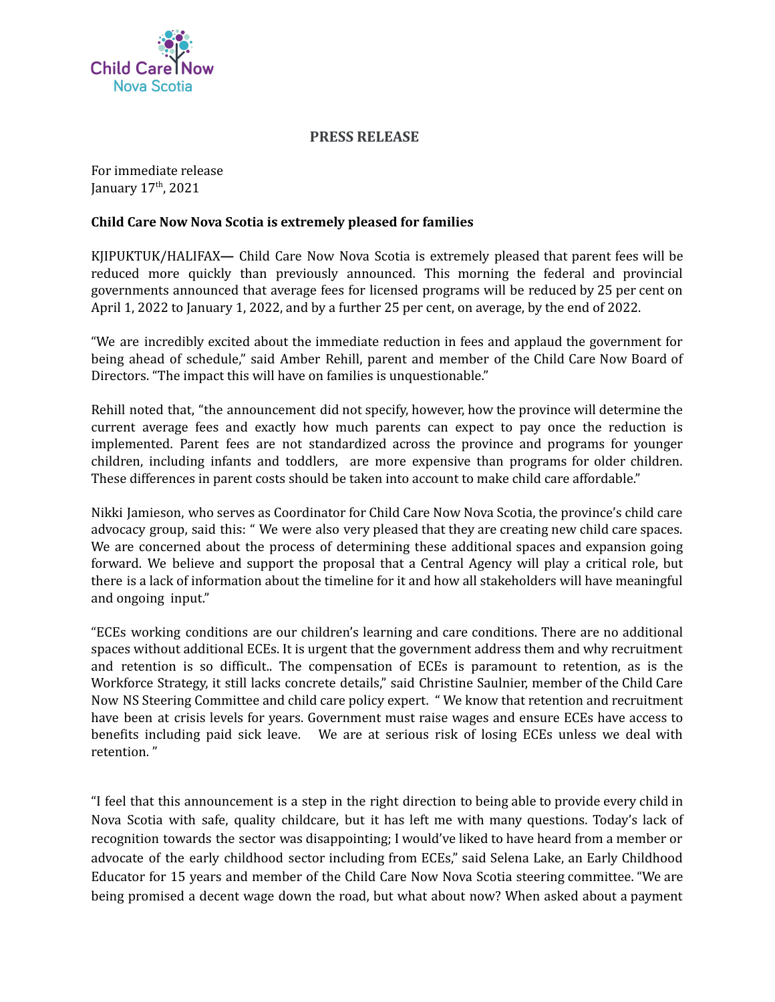

## **PRESS RELEASE**

For immediate release January 17<sup>th</sup>, 2021

## **Child Care Now Nova Scotia is extremely pleased for families**

KJIPUKTUK/HALIFAX**—** Child Care Now Nova Scotia is extremely pleased that parent fees will be reduced more quickly than previously announced. This morning the federal and provincial governments announced that average fees for licensed programs will be reduced by 25 per cent on April 1, 2022 to January 1, 2022, and by a further 25 per cent, on average, by the end of 2022.

"We are incredibly excited about the immediate reduction in fees and applaud the government for being ahead of schedule," said Amber Rehill, parent and member of the Child Care Now Board of Directors. "The impact this will have on families is unquestionable."

Rehill noted that, "the announcement did not specify, however, how the province will determine the current average fees and exactly how much parents can expect to pay once the reduction is implemented. Parent fees are not standardized across the province and programs for younger children, including infants and toddlers, are more expensive than programs for older children. These differences in parent costs should be taken into account to make child care affordable."

Nikki Jamieson, who serves as Coordinator for Child Care Now Nova Scotia, the province's child care advocacy group, said this: " We were also very pleased that they are creating new child care spaces. We are concerned about the process of determining these additional spaces and expansion going forward. We believe and support the proposal that a Central Agency will play a critical role, but there is a lack of information about the timeline for it and how all stakeholders will have meaningful and ongoing input."

"ECEs working conditions are our children's learning and care conditions. There are no additional spaces without additional ECEs. It is urgent that the government address them and why recruitment and retention is so difficult.. The compensation of ECEs is paramount to retention, as is the Workforce Strategy, it still lacks concrete details," said Christine Saulnier, member of the Child Care Now NS Steering Committee and child care policy expert. " We know that retention and recruitment have been at crisis levels for years. Government must raise wages and ensure ECEs have access to benefits including paid sick leave. We are at serious risk of losing ECEs unless we deal with retention. "

"I feel that this announcement is a step in the right direction to being able to provide every child in Nova Scotia with safe, quality childcare, but it has left me with many questions. Today's lack of recognition towards the sector was disappointing; I would've liked to have heard from a member or advocate of the early childhood sector including from ECEs," said Selena Lake, an Early Childhood Educator for 15 years and member of the Child Care Now Nova Scotia steering committee. "We are being promised a decent wage down the road, but what about now? When asked about a payment